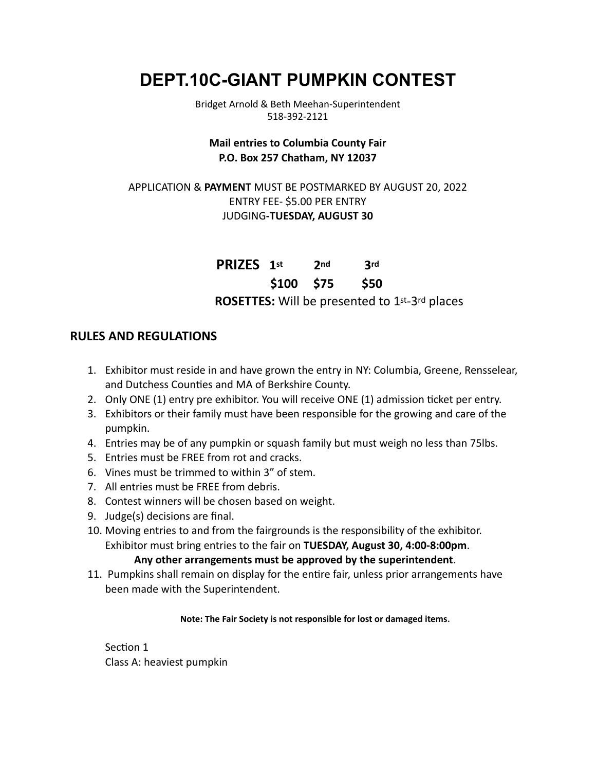# **DEPT.10C-GIANT PUMPKIN CONTEST**

Bridget Arnold & Beth Meehan-Superintendent 518-392-2121

## **Mail entries to Columbia County Fair P.O. Box 257 Chatham, NY 12037**

## APPLICATION & **PAYMENT** MUST BE POSTMARKED BY AUGUST 20, 2022 ENTRY FEE- \$5.00 PER ENTRY JUDGING**-TUESDAY, AUGUST 30**

**PRIZES 1st 2nd 3rd \$100 \$75 \$50 ROSETTES:** Will be presented to 1st-3rd places

## **RULES AND REGULATIONS**

- 1. Exhibitor must reside in and have grown the entry in NY: Columbia, Greene, Rensselear, and Dutchess Counties and MA of Berkshire County.
- 2. Only ONE (1) entry pre exhibitor. You will receive ONE (1) admission ticket per entry.
- 3. Exhibitors or their family must have been responsible for the growing and care of the pumpkin.
- 4. Entries may be of any pumpkin or squash family but must weigh no less than 75lbs.
- 5. Entries must be FREE from rot and cracks.
- 6. Vines must be trimmed to within 3" of stem.
- 7. All entries must be FREE from debris.
- 8. Contest winners will be chosen based on weight.
- 9. Judge(s) decisions are final.
- 10. Moving entries to and from the fairgrounds is the responsibility of the exhibitor. Exhibitor must bring entries to the fair on **TUESDAY, August 30, 4:00-8:00pm**.

#### **Any other arrangements must be approved by the superintendent**.

11. Pumpkins shall remain on display for the entire fair, unless prior arrangements have been made with the Superintendent.

#### **Note: The Fair Society is not responsible for lost or damaged items**.

Section 1 Class A: heaviest pumpkin